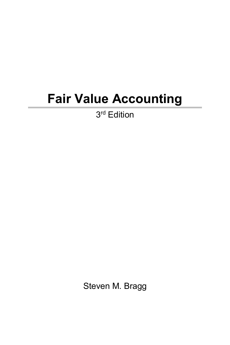## **Fair Value Accounting**

3<sup>rd</sup> Edition

Steven M. Bragg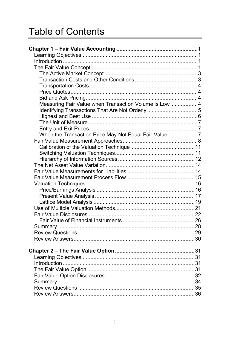## **Table of Contents**

| Measuring Fair Value when Transaction Volume is Low4 |  |
|------------------------------------------------------|--|
| Identifying Transactions That Are Not Orderly 5      |  |
|                                                      |  |
|                                                      |  |
|                                                      |  |
| When the Transaction Price May Not Equal Fair Value7 |  |
|                                                      |  |
|                                                      |  |
|                                                      |  |
|                                                      |  |
|                                                      |  |
|                                                      |  |
|                                                      |  |
|                                                      |  |
|                                                      |  |
|                                                      |  |
|                                                      |  |
|                                                      |  |
|                                                      |  |
|                                                      |  |
|                                                      |  |
|                                                      |  |
|                                                      |  |
|                                                      |  |
|                                                      |  |
|                                                      |  |
|                                                      |  |
|                                                      |  |
|                                                      |  |
|                                                      |  |
|                                                      |  |
|                                                      |  |